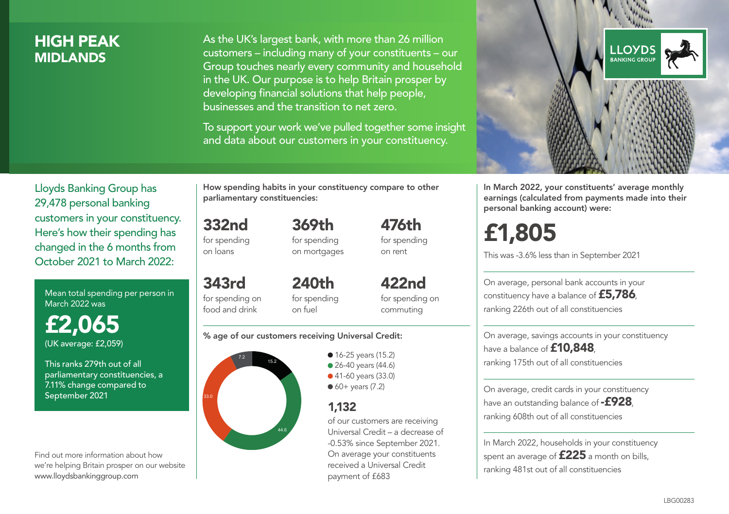### HIGH PEAK **MIDI ANDS**

As the UK's largest bank, with more than 26 million customers – including many of your constituents – our Group touches nearly every community and household in the UK. Our purpose is to help Britain prosper by developing financial solutions that help people, businesses and the transition to net zero.

To support your work we've pulled together some insight and data about our customers in your constituency.



Mean total spending per person in March 2022 was

£2,065 (UK average: £2,059)

This ranks 279th out of all parliamentary constituencies, a 7.11% change compared to September 2021

Find out more information about how we're helping Britain prosper on our website www.lloydsbankinggroup.com

How spending habits in your constituency compare to other parliamentary constituencies:

> 369th for spending on mortgages

332nd for spending on loans

food and drink

343rd for spending on 240th

for spending on fuel

for spending on commuting

422nd

476th for spending on rent

#### % age of our customers receiving Universal Credit:



• 16-25 years (15.2) • 26-40 years (44.6) ● 41-60 years (33.0)  $60+$  years (7.2)

### 1,132

of our customers are receiving Universal Credit – a decrease of -0.53% since September 2021. On average your constituents received a Universal Credit payment of £683



In March 2022, your constituents' average monthly earnings (calculated from payments made into their personal banking account) were:

# £1,805

This was -3.6% less than in September 2021

On average, personal bank accounts in your constituency have a balance of £5,786, ranking 226th out of all constituencies

On average, savings accounts in your constituency have a balance of **£10,848** ranking 175th out of all constituencies

On average, credit cards in your constituency have an outstanding balance of **-£928** ranking 608th out of all constituencies

In March 2022, households in your constituency spent an average of £225 a month on bills, ranking 481st out of all constituencies